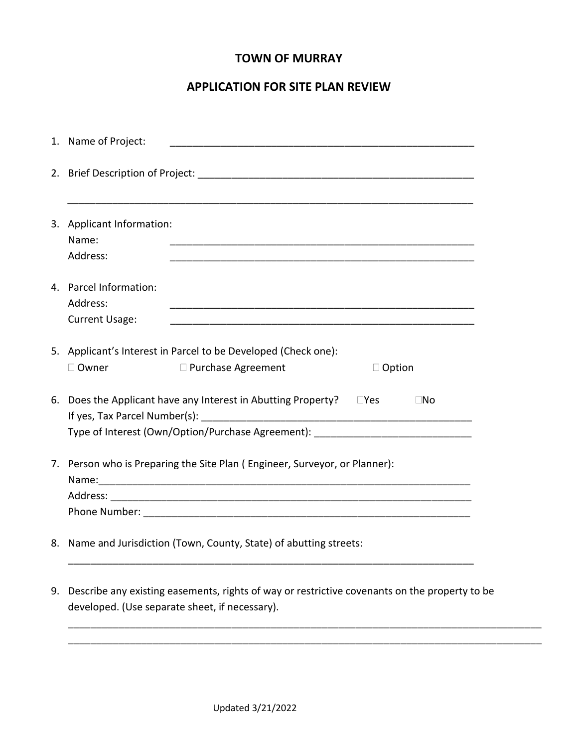### **TOWN OF MURRAY**

## **APPLICATION FOR SITE PLAN REVIEW**

|    | 1. Name of Project:                                                                                                                                               | <u> 1989 - John Stone, Amerikaansk politiker († 1918)</u>                                                                                       |               |  |  |  |
|----|-------------------------------------------------------------------------------------------------------------------------------------------------------------------|-------------------------------------------------------------------------------------------------------------------------------------------------|---------------|--|--|--|
|    |                                                                                                                                                                   |                                                                                                                                                 |               |  |  |  |
|    | 3. Applicant Information:<br>Name:<br>Address:                                                                                                                    |                                                                                                                                                 |               |  |  |  |
|    | 4. Parcel Information:<br>Address:<br>Current Usage:                                                                                                              |                                                                                                                                                 |               |  |  |  |
|    | 5. Applicant's Interest in Parcel to be Developed (Check one):                                                                                                    |                                                                                                                                                 |               |  |  |  |
|    | □ Owner                                                                                                                                                           | □ Purchase Agreement                                                                                                                            | $\Box$ Option |  |  |  |
| 6. | Does the Applicant have any Interest in Abutting Property? □ Yes<br>$\Box$ No<br>Type of Interest (Own/Option/Purchase Agreement): ______________________________ |                                                                                                                                                 |               |  |  |  |
|    | 7. Person who is Preparing the Site Plan (Engineer, Surveyor, or Planner):                                                                                        |                                                                                                                                                 |               |  |  |  |
|    |                                                                                                                                                                   |                                                                                                                                                 |               |  |  |  |
|    |                                                                                                                                                                   |                                                                                                                                                 |               |  |  |  |
|    | 8. Name and Jurisdiction (Town, County, State) of abutting streets:                                                                                               |                                                                                                                                                 |               |  |  |  |
| 9. |                                                                                                                                                                   | Describe any existing easements, rights of way or restrictive covenants on the property to be<br>developed. (Use separate sheet, if necessary). |               |  |  |  |

\_\_\_\_\_\_\_\_\_\_\_\_\_\_\_\_\_\_\_\_\_\_\_\_\_\_\_\_\_\_\_\_\_\_\_\_\_\_\_\_\_\_\_\_\_\_\_\_\_\_\_\_\_\_\_\_\_\_\_\_\_\_\_\_\_\_\_\_\_\_\_\_\_\_\_\_\_\_\_\_\_\_\_\_ \_\_\_\_\_\_\_\_\_\_\_\_\_\_\_\_\_\_\_\_\_\_\_\_\_\_\_\_\_\_\_\_\_\_\_\_\_\_\_\_\_\_\_\_\_\_\_\_\_\_\_\_\_\_\_\_\_\_\_\_\_\_\_\_\_\_\_\_\_\_\_\_\_\_\_\_\_\_\_\_\_\_\_\_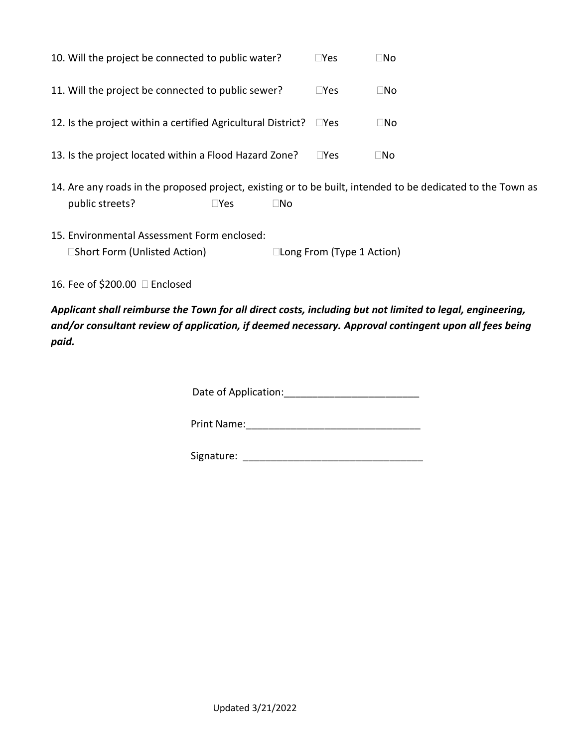| 10. Will the project be connected to public water?           | l lYes       | ⊟No |
|--------------------------------------------------------------|--------------|-----|
| 11. Will the project be connected to public sewer?           | $\sqcup$ Yes | ⊐No |
| 12. Is the project within a certified Agricultural District? | l Yes        | □No |
| 13. Is the project located within a Flood Hazard Zone?       | l IYes       | ⊟No |

- 14. Are any roads in the proposed project, existing or to be built, intended to be dedicated to the Town as public streets? The No
- 15. Environmental Assessment Form enclosed: Short Form (Unlisted Action) Long From (Type 1 Action)
- 16. Fee of \$200.00 Enclosed

*Applicant shall reimburse the Town for all direct costs, including but not limited to legal, engineering, and/or consultant review of application, if deemed necessary. Approval contingent upon all fees being paid.*

Date of Application:\_\_\_\_\_\_\_\_\_\_\_\_\_\_\_\_\_\_\_\_\_\_\_\_

Print Name:\_\_\_\_\_\_\_\_\_\_\_\_\_\_\_\_\_\_\_\_\_\_\_\_\_\_\_\_\_\_\_

Signature: \_\_\_\_\_\_\_\_\_\_\_\_\_\_\_\_\_\_\_\_\_\_\_\_\_\_\_\_\_\_\_\_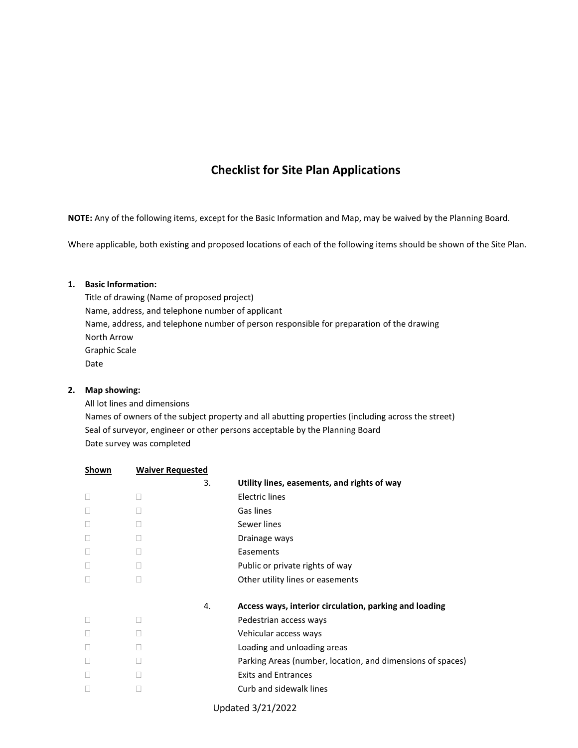## **Checklist for Site Plan Applications**

**NOTE:** Any of the following items, except for the Basic Information and Map, may be waived by the Planning Board.

Where applicable, both existing and proposed locations of each of the following items should be shown of the Site Plan.

#### **1. Basic Information:**

Title of drawing (Name of proposed project) Name, address, and telephone number of applicant Name, address, and telephone number of person responsible for preparation of the drawing North Arrow Graphic Scale Date

#### **2. Map showing:**

All lot lines and dimensions Names of owners of the subject property and all abutting properties (including across the street) Seal of surveyor, engineer or other persons acceptable by the Planning Board Date survey was completed

| Shown  | <b>Waiver Requested</b> |    |                                                            |
|--------|-------------------------|----|------------------------------------------------------------|
|        |                         | 3. | Utility lines, easements, and rights of way                |
| $\Box$ |                         |    | Electric lines                                             |
|        |                         |    | Gas lines                                                  |
| Ш      |                         |    | Sewer lines                                                |
| $\Box$ |                         |    | Drainage ways                                              |
|        |                         |    | Easements                                                  |
|        |                         |    | Public or private rights of way                            |
| □      |                         |    | Other utility lines or easements                           |
|        |                         | 4. | Access ways, interior circulation, parking and loading     |
| $\Box$ |                         |    | Pedestrian access ways                                     |
|        |                         |    | Vehicular access ways                                      |
| $\Box$ |                         |    | Loading and unloading areas                                |
| □      |                         |    | Parking Areas (number, location, and dimensions of spaces) |
| Ш      |                         |    | <b>Exits and Entrances</b>                                 |
| □      |                         |    | Curb and sidewalk lines                                    |
|        |                         |    |                                                            |

Updated 3/21/2022